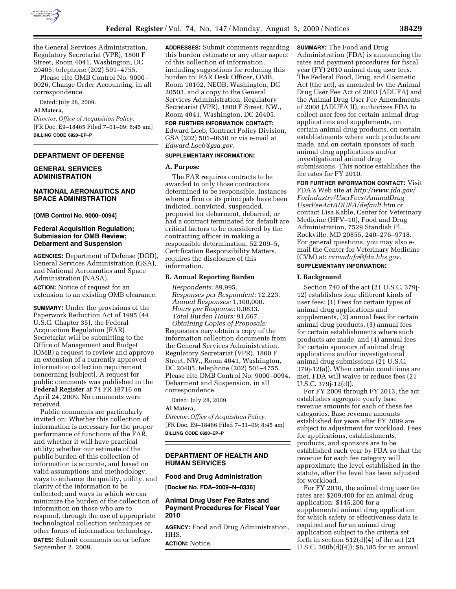

the General Services Administration, Regulatory Secretariat (VPR), 1800 F Street, Room 4041, Washington, DC 20405, telephone (202) 501–4755.

Please cite OMB Control No. 9000– 0026, Change Order Accounting, in all correspondence.

Dated: July 28, 2009.

#### **Al Matera,**

*Director, Office of Acquisition Policy.*  [FR Doc. E9–18465 Filed 7–31–09; 8:45 am] **BILLING CODE 6820–EP–P** 

## **DEPARTMENT OF DEFENSE**

#### **GENERAL SERVICES ADMINISTRATION**

## **NATIONAL AERONAUTICS AND SPACE ADMINISTRATION**

**[OMB Control No. 9000–0094]** 

### **Federal Acquisition Regulation; Submission for OMB Review; Debarment and Suspension**

**AGENCIES:** Department of Defense (DOD), General Services Administration (GSA), and National Aeronautics and Space Administration (NASA).

**ACTION:** Notice of request for an extension to an existing OMB clearance.

**SUMMARY:** Under the provisions of the Paperwork Reduction Act of 1995 (44 U.S.C. Chapter 35), the Federal Acquisition Regulation (FAR) Secretariat will be submitting to the Office of Management and Budget (OMB) a request to review and approve an extension of a currently approved information collection requirement concerning [subject]. A request for public comments was published in the **Federal Register** at 74 FR 18716 on April 24, 2009. No comments were received.

Public comments are particularly invited on: Whether this collection of information is necessary for the proper performance of functions of the FAR, and whether it will have practical utility; whether our estimate of the public burden of this collection of information is accurate, and based on valid assumptions and methodology; ways to enhance the quality, utility, and clarity of the information to be collected; and ways in which we can minimize the burden of the collection of information on those who are to respond, through the use of appropriate technological collection techniques or other forms of information technology.

**DATES:** Submit comments on or before September 2, 2009.

**ADDRESSES:** Submit comments regarding this burden estimate or any other aspect of this collection of information, including suggestions for reducing this burden to: FAR Desk Officer, OMB, Room 10102, NEOB, Washington, DC 20503, and a copy to the General Services Administration, Regulatory Secretariat (VPR), 1800 F Street, NW., Room 4041, Washington, DC 20405.

**FOR FURTHER INFORMATION CONTACT:**  Edward Loeb, Contract Policy Division, GSA (202) 501–0650 or via e-mail at *Edward.Loeb@gsa.gov.* 

## **SUPPLEMENTARY INFORMATION:**

## **A. Purpose**

The FAR requires contracts to be awarded to only those contractors determined to be responsible. Instances where a firm or its principals have been indicted, convicted, suspended, proposed for debarment, debarred, or had a contract terminated for default are critical factors to be considered by the contracting officer in making a responsible determination, 52.209–5, Certification Responsibility Matters, requires the disclosure of this information.

## **B. Annual Reporting Burden**

*Respondents:* 89,995. *Responses per Respondent:* 12.223. *Annual Responses:* 1,100,000. *Hours per Response:* 0.0833. *Total Burden Hours:* 91,667. *Obtaining Copies of Proposals:*  Requesters may obtain a copy of the information collection documents from the General Services Administration, Regulatory Secretariat (VPR), 1800 F Street, NW., Room 4041, Washington, DC 20405, telephone (202) 501–4755. Please cite OMB Control No. 9000–0094, Debarment and Suspension, in all correspondence.

Dated: July 28, 2009.

#### **Al Matera,**

*Director, Office of Acquisition Policy.*  [FR Doc. E9–18466 Filed 7–31–09; 8:45 am] **BILLING CODE 6820–EP–P** 

## **DEPARTMENT OF HEALTH AND HUMAN SERVICES**

#### **Food and Drug Administration**

**[Docket No. FDA–2009–N–0336]** 

#### **Animal Drug User Fee Rates and Payment Procedures for Fiscal Year 2010**

**AGENCY:** Food and Drug Administration, HHS.

**ACTION:** Notice.

**SUMMARY:** The Food and Drug Administration (FDA) is announcing the rates and payment procedures for fiscal year (FY) 2010 animal drug user fees. The Federal Food, Drug, and Cosmetic Act (the act), as amended by the Animal Drug User Fee Act of 2003 (ADUFA) and the Animal Drug User Fee Amendments of 2008 (ADUFA II), authorizes FDA to collect user fees for certain animal drug applications and supplements, on certain animal drug products, on certain establishments where such products are made, and on certain sponsors of such animal drug applications and/or investigational animal drug submissions. This notice establishes the fee rates for FY 2010.

**FOR FURTHER INFORMATION CONTACT:** Visit FDA's Web site at *http://www.fda.gov/ ForIndustry/UserFees/AnimalDrug UserFeeActADUFA/default.htm* or contact Lisa Kable, Center for Veterinary Medicine (HFV–10), Food and Drug Administration, 7529 Standish Pl., Rockville, MD 20855, 240–276–9718. For general questions, you may also email the Center for Veterinary Medicine (CVM) at: *cvmadufa@fda.hhs.gov*.

# **SUPPLEMENTARY INFORMATION:**

## **I. Background**

Section 740 of the act (21 U.S.C. 379j-12) establishes four different kinds of user fees: (1) Fees for certain types of animal drug applications and supplements, (2) annual fees for certain animal drug products, (3) annual fees for certain establishments where such products are made, and (4) annual fees for certain sponsors of animal drug applications and/or investigational animal drug submissions (21 U.S.C. 379j-12(a)). When certain conditions are met, FDA will waive or reduce fees (21 U.S.C. 379j-12(d)).

For FY 2009 through FY 2013, the act establishes aggregate yearly base revenue amounts for each of these fee categories. Base revenue amounts established for years after FY 2009 are subject to adjustment for workload. Fees for applications, establishments, products, and sponsors are to be established each year by FDA so that the revenue for each fee category will approximate the level established in the statute, after the level has been adjusted for workload.

For FY 2010, the animal drug user fee rates are: \$209,400 for an animal drug application; \$145,200 for a supplemental animal drug application for which safety or effectiveness data is required and for an animal drug application subject to the criteria set forth in section  $512(d)(4)$  of the act  $(21$ U.S.C. 360b(d)(4)); \$6,185 for an annual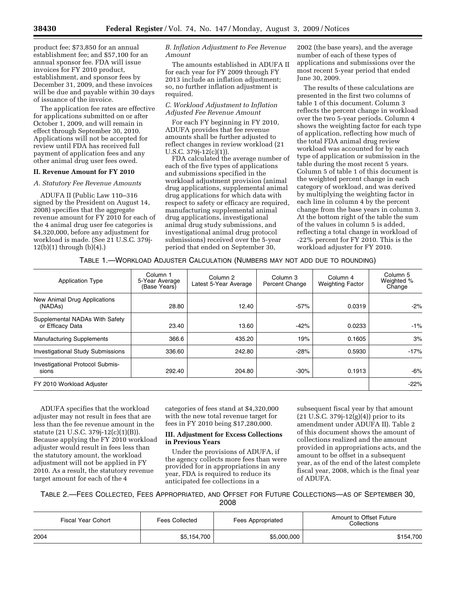product fee; \$73,850 for an annual establishment fee; and \$57,100 for an annual sponsor fee. FDA will issue invoices for FY 2010 product, establishment, and sponsor fees by December 31, 2009, and these invoices will be due and payable within 30 days of issuance of the invoice.

The application fee rates are effective for applications submitted on or after October 1, 2009, and will remain in effect through September 30, 2010. Applications will not be accepted for review until FDA has received full payment of application fees and any other animal drug user fees owed.

## **II. Revenue Amount for FY 2010**

*A. Statutory Fee Revenue Amounts* 

ADUFA II (Public Law 110–316 signed by the President on August 14, 2008) specifies that the aggregate revenue amount for FY 2010 for each of the 4 animal drug user fee categories is \$4,320,000, before any adjustment for workload is made. (See 21 U.S.C. 379j-12(b)(1) through (b)(4).)

## *B. Inflation Adjustment to Fee Revenue Amount*

The amounts established in ADUFA II for each year for FY 2009 through FY 2013 include an inflation adjustment; so, no further inflation adjustment is required.

## *C. Workload Adjustment to Inflation Adjusted Fee Revenue Amount*

For each FY beginning in FY 2010, ADUFA provides that fee revenue amounts shall be further adjusted to reflect changes in review workload (21 U.S.C. 379j-12(c)(1)).

FDA calculated the average number of each of the five types of applications and submissions specified in the workload adjustment provision (animal drug applications, supplemental animal drug applications for which data with respect to safety or efficacy are required, manufacturing supplemental animal drug applications, investigational animal drug study submissions, and investigational animal drug protocol submissions) received over the 5-year period that ended on September 30,

2002 (the base years), and the average number of each of these types of applications and submissions over the most recent 5-year period that ended June 30, 2009.

The results of these calculations are presented in the first two columns of table 1 of this document. Column 3 reflects the percent change in workload over the two 5-year periods. Column 4 shows the weighting factor for each type of application, reflecting how much of the total FDA animal drug review workload was accounted for by each type of application or submission in the table during the most recent 5 years. Column 5 of table 1 of this document is the weighted percent change in each category of workload, and was derived by multiplying the weighting factor in each line in column 4 by the percent change from the base years in column 3. At the bottom right of the table the sum of the values in column 5 is added, reflecting a total change in workload of -22% percent for FY 2010. This is the workload adjuster for FY 2010.

## TABLE 1.—WORKLOAD ADJUSTER CALCULATION (NUMBERS MAY NOT ADD DUE TO ROUNDING)

| <b>Application Type</b>                              | Column <sub>1</sub><br>5-Year Average<br>(Base Years) | Column <sub>2</sub><br>Latest 5-Year Average | Column 3<br>Percent Change | Column 4<br><b>Weighting Factor</b> | Column <sub>5</sub><br>Weighted %<br>Change |
|------------------------------------------------------|-------------------------------------------------------|----------------------------------------------|----------------------------|-------------------------------------|---------------------------------------------|
| New Animal Drug Applications<br>(NADA <sub>s</sub> ) | 28.80                                                 | 12.40                                        | $-57%$                     | 0.0319                              | $-2%$                                       |
| Supplemental NADAs With Safety<br>or Efficacy Data   | 23.40                                                 | 13.60                                        | $-42%$                     | 0.0233                              | $-1%$                                       |
| <b>Manufacturing Supplements</b>                     | 366.6                                                 | 435.20                                       | 19%                        | 0.1605                              | 3%                                          |
| <b>Investigational Study Submissions</b>             | 336.60                                                | 242.80                                       | $-28%$                     | 0.5930                              | $-17%$                                      |
| <b>Investigational Protocol Submis-</b><br>sions     | 292.40                                                | 204.80                                       | $-30%$                     | 0.1913                              | $-6%$                                       |
| FY 2010 Workload Adjuster                            |                                                       |                                              |                            |                                     | $-22%$                                      |

ADUFA specifies that the workload adjuster may not result in fees that are less than the fee revenue amount in the statute (21 U.S.C. 379j-12(c)(1)(B)). Because applying the FY 2010 workload adjuster would result in fees less than the statutory amount, the workload adjustment will not be applied in FY 2010. As a result, the statutory revenue target amount for each of the 4

categories of fees stand at \$4,320,000 with the new total revenue target for fees in FY 2010 being \$17,280,000.

## **III. Adjustment for Excess Collections in Previous Years**

Under the provisions of ADUFA, if the agency collects more fees than were provided for in appropriations in any year, FDA is required to reduce its anticipated fee collections in a

subsequent fiscal year by that amount  $(21 \text{ U.S.C. } 379j - 12(g)(4))$  prior to its amendment under ADUFA II). Table 2 of this document shows the amount of collections realized and the amount provided in appropriations acts, and the amount to be offset in a subsequent year, as of the end of the latest complete fiscal year, 2008, which is the final year of ADUFA.

TABLE 2.—FEES COLLECTED, FEES APPROPRIATED, AND OFFSET FOR FUTURE COLLECTIONS—AS OF SEPTEMBER 30, 2008

| <b>Fiscal Year Cohort</b><br>Fees Collected |             | Fees Appropriated | Amount to Offset Future<br>Collections |  |
|---------------------------------------------|-------------|-------------------|----------------------------------------|--|
| 2004                                        | \$5,154,700 | \$5,000,000       | \$154,700                              |  |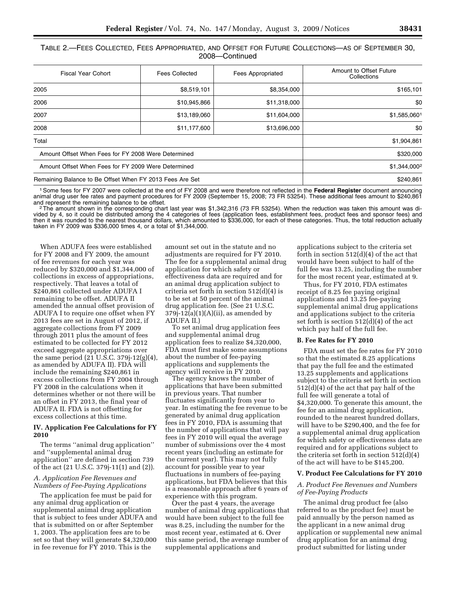TABLE 2.—FEES COLLECTED, FEES APPROPRIATED, AND OFFSET FOR FUTURE COLLECTIONS—AS OF SEPTEMBER 30, 2008—Continued

| <b>Fiscal Year Cohort</b><br>Fees Collected              |              | <b>Fees Appropriated</b> | Amount to Offset Future<br>Collections |  |
|----------------------------------------------------------|--------------|--------------------------|----------------------------------------|--|
| 2005                                                     | \$8,519,101  | \$8,354,000              | \$165,101                              |  |
| 2006                                                     | \$10,945,866 | \$11,318,000             | \$0                                    |  |
| 2007                                                     | \$13,189,060 | \$11,604,000             | \$1,585,0601                           |  |
| 2008                                                     | \$11,177,600 | \$13,696,000             | \$0                                    |  |
| Total                                                    | \$1,904,861  |                          |                                        |  |
| Amount Offset When Fees for FY 2008 Were Determined      | \$320,000    |                          |                                        |  |
| Amount Offset When Fees for FY 2009 Were Determined      | \$1,344,0002 |                          |                                        |  |
| Remaining Balance to Be Offset When FY 2013 Fees Are Set |              |                          | \$240,861                              |  |

1Some fees for FY 2007 were collected at the end of FY 2008 and were therefore not reflected in the **Federal Register** document announcing animal drug user fee rates and payment procedures for FY 2009 (September 15, 2008; 73 FR 53254). These additional fees amount to \$240,861<br>and represent the remaining balance to be offset.

and represent the remaining balance to be offset.<br><sup>2</sup>The amount shown in the corresponding chart last year was \$1,342,316 (73 FR 53254). When the reduction was taken this amount was divided by 4, so it could be distributed among the 4 categories of fees (application fees, establishment fees, product fees and sponsor fees) and then it was rounded to the nearest thousand dollars, which amounted to \$336,000, for each of these categories. Thus, the total reduction actually taken in FY 2009 was \$336,000 times 4, or a total of \$1,344,000.

When ADUFA fees were established for FY 2008 and FY 2009, the amount of fee revenues for each year was reduced by \$320,000 and \$1,344,000 of collections in excess of appropriations, respectively. That leaves a total of \$240,861 collected under ADUFA I remaining to be offset. ADUFA II amended the annual offset provision of ADUFA I to require one offset when FY 2013 fees are set in August of 2012, if aggregate collections from FY 2009 through 2011 plus the amount of fees estimated to be collected for FY 2012 exceed aggregate appropriations over the same period (21 U.S.C. 379j-12(g)(4), as amended by ADUFA II). FDA will include the remaining \$240,861 in excess collections from FY 2004 through FY 2008 in the calculations when it determines whether or not there will be an offset in FY 2013, the final year of ADUFA II. FDA is not offsetting for excess collections at this time.

#### **IV. Application Fee Calculations for FY 2010**

The terms ''animal drug application'' and ''supplemental animal drug application'' are defined in section 739 of the act (21 U.S.C. 379j-11(1) and (2)).

## *A. Application Fee Revenues and Numbers of Fee-Paying Applications*

The application fee must be paid for any animal drug application or supplemental animal drug application that is subject to fees under ADUFA and that is submitted on or after September 1, 2003. The application fees are to be set so that they will generate \$4,320,000 in fee revenue for FY 2010. This is the

amount set out in the statute and no adjustments are required for FY 2010. The fee for a supplemental animal drug application for which safety or effectiveness data are required and for an animal drug application subject to criteria set forth in section 512(d)(4) is to be set at 50 percent of the animal drug application fee. (See 21 U.S.C.  $379j-12(a)(1)(A)(ii)$ , as amended by ADUFA II.)

To set animal drug application fees and supplemental animal drug application fees to realize \$4,320,000, FDA must first make some assumptions about the number of fee-paying applications and supplements the agency will receive in FY 2010.

The agency knows the number of applications that have been submitted in previous years. That number fluctuates significantly from year to year. In estimating the fee revenue to be generated by animal drug application fees in FY 2010, FDA is assuming that the number of applications that will pay fees in FY 2010 will equal the average number of submissions over the 4 most recent years (including an estimate for the current year). This may not fully account for possible year to year fluctuations in numbers of fee-paying applications, but FDA believes that this is a reasonable approach after 6 years of experience with this program.

Over the past 4 years, the average number of animal drug applications that would have been subject to the full fee was 8.25, including the number for the most recent year, estimated at 6. Over this same period, the average number of supplemental applications and

applications subject to the criteria set forth in section 512(d)(4) of the act that would have been subject to half of the full fee was 13.25, including the number for the most recent year, estimated at 9.

Thus, for FY 2010, FDA estimates receipt of 8.25 fee paying original applications and 13.25 fee-paying supplemental animal drug applications and applications subject to the criteria set forth is section 512(d)(4) of the act which pay half of the full fee.

## **B. Fee Rates for FY 2010**

FDA must set the fee rates for FY 2010 so that the estimated 8.25 applications that pay the full fee and the estimated 13.25 supplements and applications subject to the criteria set forth in section 512(d)(4) of the act that pay half of the full fee will generate a total of \$4,320,000. To generate this amount, the fee for an animal drug application, rounded to the nearest hundred dollars, will have to be \$290,400, and the fee for a supplemental animal drug application for which safety or effectiveness data are required and for applications subject to the criteria set forth in section 512(d)(4) of the act will have to be \$145,200.

## **V. Product Fee Calculations for FY 2010**

#### *A. Product Fee Revenues and Numbers of Fee-Paying Products*

The animal drug product fee (also referred to as the product fee) must be paid annually by the person named as the applicant in a new animal drug application or supplemental new animal drug application for an animal drug product submitted for listing under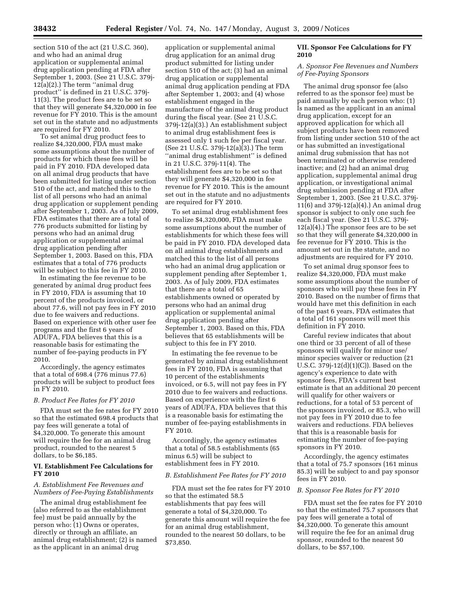section 510 of the act (21 U.S.C. 360), and who had an animal drug application or supplemental animal drug application pending at FDA after September 1, 2003. (See 21 U.S.C. 379j- $12(a)(2)$ .) The term "animal drug product'' is defined in 21 U.S.C. 379j-11(3). The product fees are to be set so that they will generate \$4,320,000 in fee revenue for FY 2010. This is the amount set out in the statute and no adjustments are required for FY 2010.

To set animal drug product fees to realize \$4,320,000, FDA must make some assumptions about the number of products for which these fees will be paid in FY 2010. FDA developed data on all animal drug products that have been submitted for listing under section 510 of the act, and matched this to the list of all persons who had an animal drug application or supplement pending after September 1, 2003. As of July 2009, FDA estimates that there are a total of 776 products submitted for listing by persons who had an animal drug application or supplemental animal drug application pending after September 1, 2003. Based on this, FDA estimates that a total of 776 products will be subject to this fee in FY 2010.

In estimating the fee revenue to be generated by animal drug product fees in FY 2010, FDA is assuming that 10 percent of the products invoiced, or about 77.6, will not pay fees in FY 2010 due to fee waivers and reductions. Based on experience with other user fee programs and the first 6 years of ADUFA, FDA believes that this is a reasonable basis for estimating the number of fee-paying products in FY 2010.

Accordingly, the agency estimates that a total of 698.4 (776 minus 77.6) products will be subject to product fees in FY 2010.

## *B. Product Fee Rates for FY 2010*

FDA must set the fee rates for FY 2010 so that the estimated 698.4 products that pay fees will generate a total of \$4,320,000. To generate this amount will require the fee for an animal drug product, rounded to the nearest 5 dollars, to be \$6,185.

## **VI. Establishment Fee Calculations for FY 2010**

#### *A. Establishment Fee Revenues and Numbers of Fee-Paying Establishments*

The animal drug establishment fee (also referred to as the establishment fee) must be paid annually by the person who: (1) Owns or operates, directly or through an affiliate, an animal drug establishment; (2) is named as the applicant in an animal drug

application or supplemental animal drug application for an animal drug product submitted for listing under section 510 of the act; (3) had an animal drug application or supplemental animal drug application pending at FDA after September 1, 2003; and (4) whose establishment engaged in the manufacture of the animal drug product during the fiscal year. (See 21 U.S.C. 379j-12(a)(3).) An establishment subject to animal drug establishment fees is assessed only 1 such fee per fiscal year. (See 21 U.S.C. 379j-12(a)(3).) The term ''animal drug establishment'' is defined in 21 U.S.C. 379j-11(4). The establishment fees are to be set so that they will generate \$4,320,000 in fee revenue for FY 2010. This is the amount set out in the statute and no adjustments are required for FY 2010.

To set animal drug establishment fees to realize \$4,320,000, FDA must make some assumptions about the number of establishments for which these fees will be paid in FY 2010. FDA developed data on all animal drug establishments and matched this to the list of all persons who had an animal drug application or supplement pending after September 1, 2003. As of July 2009, FDA estimates that there are a total of 65 establishments owned or operated by persons who had an animal drug application or supplemental animal drug application pending after September 1, 2003. Based on this, FDA believes that 65 establishments will be subject to this fee in FY 2010.

In estimating the fee revenue to be generated by animal drug establishment fees in FY 2010, FDA is assuming that 10 percent of the establishments invoiced, or 6.5, will not pay fees in FY 2010 due to fee waivers and reductions. Based on experience with the first 6 years of ADUFA, FDA believes that this is a reasonable basis for estimating the number of fee-paying establishments in FY 2010.

Accordingly, the agency estimates that a total of 58.5 establishments (65 minus 6.5) will be subject to establishment fees in FY 2010.

#### *B. Establishment Fee Rates for FY 2010*

FDA must set the fee rates for FY 2010 so that the estimated 58.5 establishments that pay fees will generate a total of \$4,320,000. To generate this amount will require the fee for an animal drug establishment, rounded to the nearest 50 dollars, to be \$73,850.

## **VII. Sponsor Fee Calculations for FY 2010**

#### *A. Sponsor Fee Revenues and Numbers of Fee-Paying Sponsors*

The animal drug sponsor fee (also referred to as the sponsor fee) must be paid annually by each person who: (1) Is named as the applicant in an animal drug application, except for an approved application for which all subject products have been removed from listing under section 510 of the act or has submitted an investigational animal drug submission that has not been terminated or otherwise rendered inactive; and (2) had an animal drug application, supplemental animal drug application, or investigational animal drug submission pending at FDA after September 1, 2003. (See 21 U.S.C. 379j-11(6) and 379j-12(a)(4).) An animal drug sponsor is subject to only one such fee each fiscal year. (See 21 U.S.C. 379j-12(a)(4).) The sponsor fees are to be set so that they will generate \$4,320,000 in fee revenue for FY 2010. This is the amount set out in the statute, and no adjustments are required for FY 2010.

To set animal drug sponsor fees to realize \$4,320,000, FDA must make some assumptions about the number of sponsors who will pay these fees in FY 2010. Based on the number of firms that would have met this definition in each of the past 6 years, FDA estimates that a total of 161 sponsors will meet this definition in FY 2010.

Careful review indicates that about one third or 33 percent of all of these sponsors will qualify for minor use/ minor species waiver or reduction (21 U.S.C. 379j-12(d)(1)(C)). Based on the agency's experience to date with sponsor fees, FDA's current best estimate is that an additional 20 percent will qualify for other waivers or reductions, for a total of 53 percent of the sponsors invoiced, or 85.3, who will not pay fees in FY 2010 due to fee waivers and reductions. FDA believes that this is a reasonable basis for estimating the number of fee-paying sponsors in FY 2010.

Accordingly, the agency estimates that a total of 75.7 sponsors (161 minus 85.3) will be subject to and pay sponsor fees in FY 2010.

#### *B. Sponsor Fee Rates for FY 2010*

FDA must set the fee rates for FY 2010 so that the estimated 75.7 sponsors that pay fees will generate a total of \$4,320,000. To generate this amount will require the fee for an animal drug sponsor, rounded to the nearest 50 dollars, to be \$57,100.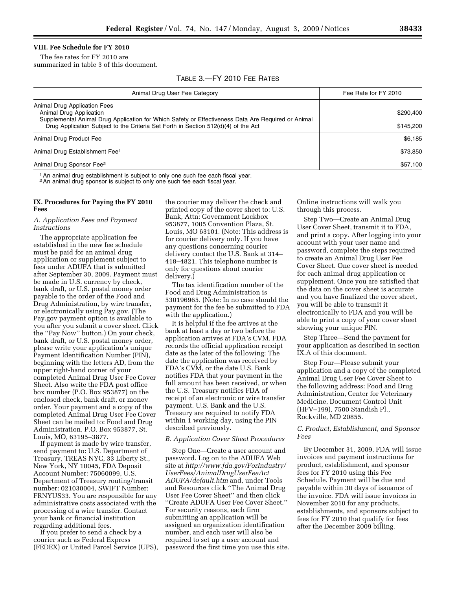## **VIII. Fee Schedule for FY 2010**

The fee rates for FY 2010 are summarized in table 3 of this document.

## TABLE 3.—FY 2010 FEE RATES

| Animal Drug User Fee Category                                                                                                                                                                                                                       | Fee Rate for FY 2010   |  |
|-----------------------------------------------------------------------------------------------------------------------------------------------------------------------------------------------------------------------------------------------------|------------------------|--|
| Animal Drug Application Fees<br>Animal Drug Application<br>Supplemental Animal Drug Application for Which Safety or Effectiveness Data Are Required or Animal<br>Drug Application Subject to the Criteria Set Forth in Section 512(d)(4) of the Act | \$290.400<br>\$145,200 |  |
| Animal Drug Product Fee                                                                                                                                                                                                                             | \$6.185                |  |
| Animal Drug Establishment Fee <sup>1</sup>                                                                                                                                                                                                          | \$73.850               |  |
| Animal Drug Sponsor Fee <sup>2</sup>                                                                                                                                                                                                                | \$57,100               |  |

<sup>1</sup> An animal drug establishment is subject to only one such fee each fiscal year.

2An animal drug sponsor is subject to only one such fee each fiscal year.

### **IX. Procedures for Paying the FY 2010 Fees**

#### *A. Application Fees and Payment Instructions*

The appropriate application fee established in the new fee schedule must be paid for an animal drug application or supplement subject to fees under ADUFA that is submitted after September 30, 2009. Payment must be made in U.S. currency by check, bank draft, or U.S. postal money order payable to the order of the Food and Drug Administration, by wire transfer, or electronically using Pay.gov. (The Pay.gov payment option is available to you after you submit a cover sheet. Click the ''Pay Now'' button.) On your check, bank draft, or U.S. postal money order, please write your application's unique Payment Identification Number (PIN), beginning with the letters AD, from the upper right-hand corner of your completed Animal Drug User Fee Cover Sheet. Also write the FDA post office box number (P.O. Box 953877) on the enclosed check, bank draft, or money order. Your payment and a copy of the completed Animal Drug User Fee Cover Sheet can be mailed to: Food and Drug Administration, P.O. Box 953877, St. Louis, MO, 63195–3877.

If payment is made by wire transfer, send payment to: U.S. Department of Treasury, TREAS NYC, 33 Liberty St., New York, NY 10045, FDA Deposit Account Number: 75060099, U.S. Department of Treasury routing/transit number: 021030004, SWIFT Number: FRNYUS33. You are responsible for any administrative costs associated with the processing of a wire transfer. Contact your bank or financial institution regarding additional fees.

If you prefer to send a check by a courier such as Federal Express (FEDEX) or United Parcel Service (UPS), the courier may deliver the check and printed copy of the cover sheet to: U.S. Bank, Attn: Government Lockbox 953877, 1005 Convention Plaza, St. Louis, MO 63101. (Note: This address is for courier delivery only. If you have any questions concerning courier delivery contact the U.S. Bank at 314– 418–4821. This telephone number is only for questions about courier delivery.)

The tax identification number of the Food and Drug Administration is 530196965. (Note: In no case should the payment for the fee be submitted to FDA with the application.)

It is helpful if the fee arrives at the bank at least a day or two before the application arrives at FDA's CVM. FDA records the official application receipt date as the later of the following: The date the application was received by FDA's CVM, or the date U.S. Bank notifies FDA that your payment in the full amount has been received, or when the U.S. Treasury notifies FDA of receipt of an electronic or wire transfer payment. U.S. Bank and the U.S. Treasury are required to notify FDA within 1 working day, using the PIN described previously.

#### *B. Application Cover Sheet Procedures*

Step One—Create a user account and password. Log on to the ADUFA Web site at *http://www.fda.gov/ForIndustry/ UserFees/AnimalDrugUserFeeAct ADUFA/default.htm* and, under Tools and Resources click ''The Animal Drug User Fee Cover Sheet'' and then click ''Create ADUFA User Fee Cover Sheet.'' For security reasons, each firm submitting an application will be assigned an organization identification number, and each user will also be required to set up a user account and password the first time you use this site. Online instructions will walk you through this process.

Step Two—Create an Animal Drug User Cover Sheet, transmit it to FDA, and print a copy. After logging into your account with your user name and password, complete the steps required to create an Animal Drug User Fee Cover Sheet. One cover sheet is needed for each animal drug application or supplement. Once you are satisfied that the data on the cover sheet is accurate and you have finalized the cover sheet, you will be able to transmit it electronically to FDA and you will be able to print a copy of your cover sheet showing your unique PIN.

Step Three—Send the payment for your application as described in section IX.A of this document.

Step Four—Please submit your application and a copy of the completed Animal Drug User Fee Cover Sheet to the following address: Food and Drug Administration, Center for Veterinary Medicine, Document Control Unit (HFV–199), 7500 Standish Pl., Rockville, MD 20855.

## *C. Product, Establishment, and Sponsor Fees*

By December 31, 2009, FDA will issue invoices and payment instructions for product, establishment, and sponsor fees for FY 2010 using this Fee Schedule. Payment will be due and payable within 30 days of issuance of the invoice. FDA will issue invoices in November 2010 for any products, establishments, and sponsors subject to fees for FY 2010 that qualify for fees after the December 2009 billing.